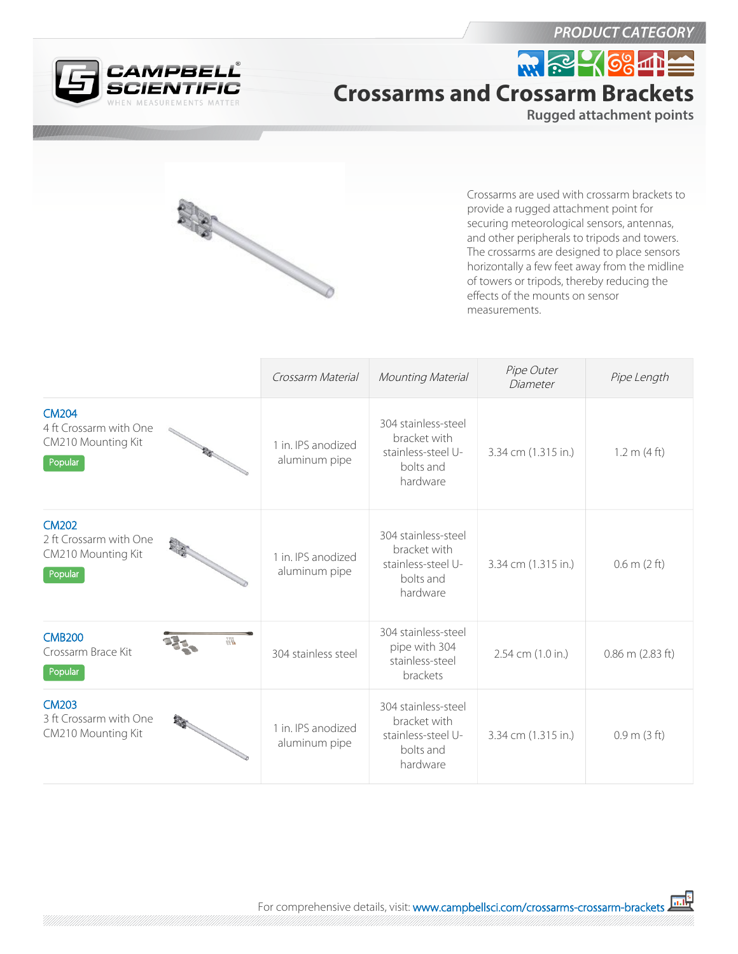

*PRODUCT CATEGORY*

## W. 2 168 11 **Crossarms and Crossarm Brackets**

**Rugged attachment points**



Crossarms are used with crossarm brackets to provide a rugged attachment point for securing meteorological sensors, antennas, and other peripherals to tripods and towers. The crossarms are designed to place sensors horizontally a few feet away from the midline of towers or tripods, thereby reducing the effects of the mounts on sensor measurements.

|                                                                                         | Crossarm Material                   | Mounting Material                                                                  | Pipe Outer<br>Diameter | Pipe Length              |
|-----------------------------------------------------------------------------------------|-------------------------------------|------------------------------------------------------------------------------------|------------------------|--------------------------|
| <b>CM204</b><br>4 ft Crossarm with One<br>CM210 Mounting Kit<br><b>RANGE</b><br>Popular | 1 in. IPS anodized<br>aluminum pipe | 304 stainless-steel<br>bracket with<br>stainless-steel U-<br>bolts and<br>hardware | 3.34 cm (1.315 in.)    | 1.2 m (4 ft)             |
| <b>CM202</b><br>2 ft Crossarm with One<br>CM210 Mounting Kit<br>Popular                 | 1 in. IPS anodized<br>aluminum pipe | 304 stainless-steel<br>bracket with<br>stainless-steel U-<br>bolts and<br>hardware | 3.34 cm (1.315 in.)    | $0.6$ m $(2 \text{ ft})$ |
| <b>CMB200</b><br>$\mathbb{Z}_\mathbb{Z}^n$<br>Crossarm Brace Kit<br>Popular             | 304 stainless steel                 | 304 stainless-steel<br>pipe with 304<br>stainless-steel<br>brackets                | 2.54 cm (1.0 in.)      | $0.86$ m $(2.83$ ft)     |
| <b>CM203</b><br>3 ft Crossarm with One<br>CM210 Mounting Kit                            | 1 in. IPS anodized<br>aluminum pipe | 304 stainless-steel<br>bracket with<br>stainless-steel U-<br>bolts and<br>hardware | 3.34 cm (1.315 in.)    | 0.9 m (3 ft)             |